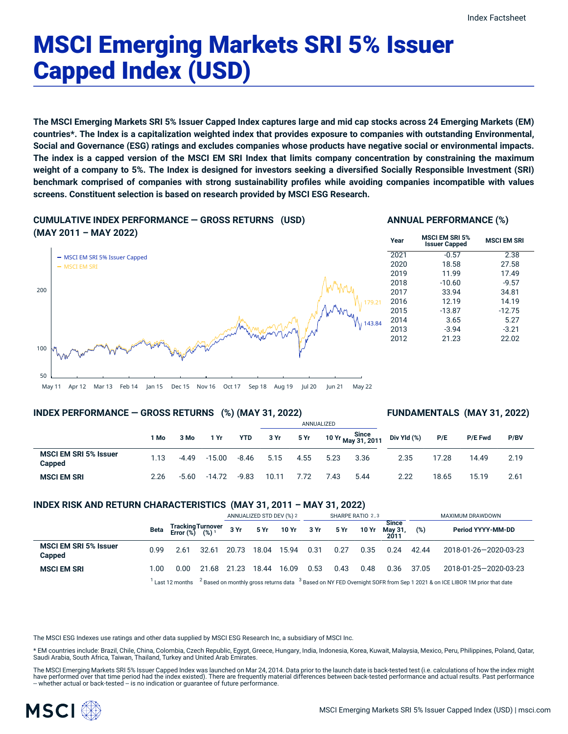# MSCI Emerging Markets SRI 5% Issuer Capped Index (USD)

The MSCI Emerging Markets SRI 5% Issuer Capped Index captures large and mid cap stocks across 24 Emerging Markets (EM) countries\*. The Index is a capitalization weighted index that provides exposure to companies with outstanding Environmental, Social and Governance (ESG) ratings and excludes companies whose products have negative social or environmental impacts. The index is a capped version of the MSCI EM SRI Index that limits company concentration by constraining the maximum weight of a company to 5%. The Index is designed for investors seeking a diversified Socially Responsible Investment (SRI) **benchmark comprised of companies with strong sustainability profiles while avoiding companies incompatible with values screens. Constituent selection is based on research provided by MSCI ESG Research.**

# **CUMULATIVE INDEX PERFORMANCE — GROSS RETURNS (USD)**



# **ANNUAL PERFORMANCE (%)**

| Year | <b>MSCI EM SRI 5%</b><br><b>Issuer Capped</b> | <b>MSCI EM SRI</b> |
|------|-----------------------------------------------|--------------------|
| 2021 | $-0.57$                                       | 2.38               |
| 2020 | 18.58                                         | 27.58              |
| 2019 | 11.99                                         | 17.49              |
| 2018 | $-10.60$                                      | $-9.57$            |
| 2017 | 33.94                                         | 34.81              |
| 2016 | 12.19                                         | 14.19              |
| 2015 | $-13.87$                                      | $-12.75$           |
| 2014 | 3.65                                          | 5.27               |
| 2013 | $-3.94$                                       | $-3.21$            |
| 2012 | 21.23                                         | 22.02              |

May 11 Apr 12 Mar 13 Feb 14 Jan 15 Dec 15 Nov 16 Oct 17 Sep 18 Aug 19 Jul 20 Jun 21 May 22

# **INDEX PERFORMANCE — GROSS RETURNS (%) (MAY 31, 2022)**

# **FUNDAMENTALS (MAY 31, 2022)**

|                                        |      |         |          |            |       |      | ANNUALIZED |                             |             |       |                |      |
|----------------------------------------|------|---------|----------|------------|-------|------|------------|-----------------------------|-------------|-------|----------------|------|
|                                        | 1 Mo | 3 Mo    | 1 Yr     | <b>YTD</b> | 3 Yr  | 5 Yr |            | 10 Yr Since<br>May 31, 2011 | Div Yld (%) | P/E   | <b>P/E Fwd</b> | P/BV |
| <b>MSCI EM SRI 5% Issuer</b><br>Capped | 1.13 | $-4.49$ | $-15.00$ | $-8.46$    | 5.15  | 4.55 | 5.23       | 3.36                        | 2.35        | 17.28 | 14.49          | 2.19 |
| <b>MSCI EM SRI</b>                     | 2.26 | $-5.60$ | $-14.72$ | $-9.83$    | 10.11 | 7.72 | 7.43       | 5.44                        | 2.22        | 18.65 | 15.19          | 2.61 |

# **INDEX RISK AND RETURN CHARACTERISTICS (MAY 31, 2011 – MAY 31, 2022)**

|                                        |      |                                                 |       | ANNUALIZED STD DEV (%) 2 |       | SHARPE RATIO 2,3     |      |      |       | MAXIMUM DRAWDOWN        |       |                                                                                                                                                          |
|----------------------------------------|------|-------------------------------------------------|-------|--------------------------|-------|----------------------|------|------|-------|-------------------------|-------|----------------------------------------------------------------------------------------------------------------------------------------------------------|
|                                        | Beta | Tracking Turnover<br>Error (%) (%) <sup>1</sup> |       |                          |       | 3 Yr 5 Yr 10 Yr 3 Yr |      | 5 Yr | 10 Yr | <b>Since</b><br>May 31, | (%)   | Period YYYY-MM-DD                                                                                                                                        |
| <b>MSCI EM SRI 5% Issuer</b><br>Capped | 0.99 | 2.61                                            | 32.61 | 20.73                    | 18.04 | 15.94                | 0.31 | 0.27 | 0.35  | 0.24                    | 42.44 | 2018-01-26-2020-03-23                                                                                                                                    |
| <b>MSCI EM SRI</b>                     | 00.1 | 0.00                                            | 21.68 | 21.23                    | 18.44 | 16.09                | 0.53 | 0.43 | 0.48  | 0.36                    | 37.05 | 2018-01-25-2020-03-23                                                                                                                                    |
|                                        |      |                                                 |       |                          |       |                      |      |      |       |                         |       | $^1$ Last 12 months $^{-2}$ Based on monthly gross returns data $^{-3}$ Based on NY FED Overnight SOFR from Sep 1 2021 & on ICE LIBOR 1M prior that date |

The MSCI ESG Indexes use ratings and other data supplied by MSCI ESG Research Inc, a subsidiary of MSCI Inc.

\* EM countries include: Brazil, Chile, China, Colombia, Czech Republic, Egypt, Greece, Hungary, India, Indonesia, Korea, Kuwait, Malaysia, Mexico, Peru, Philippines, Poland, Qatar, Saudi Arabia, South Africa, Taiwan, Thailand, Turkey and United Arab Emirates.

The MSCI Emerging Markets SRI 5% Issuer Capped Index was launched on Mar 24, 2014. Data prior to the launch date is back-tested test (i.e. calculations of how the index might have performed over that time period had the index existed). There are frequently material differences between back-tested performance and actual results. Past performance<br>– whether actual or back-tested – is no indication

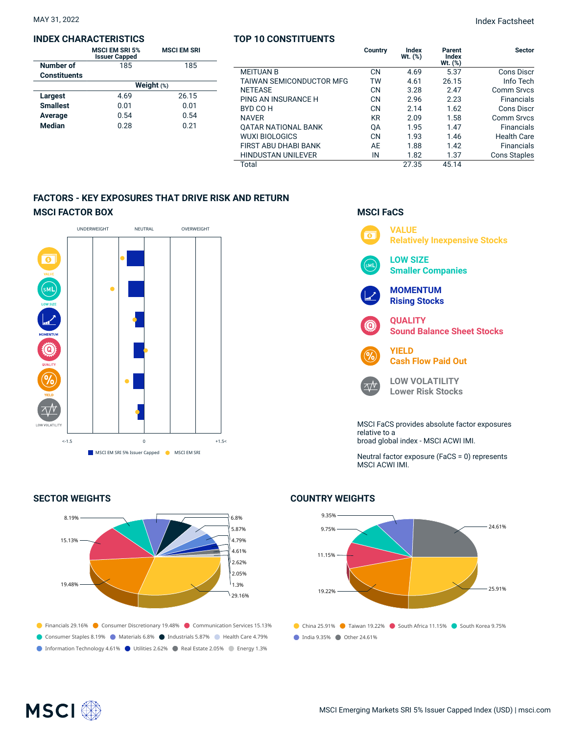### **INDEX CHARACTERISTICS**

|                     | <b>MSCI EM SRI 5%</b><br><b>Issuer Capped</b> | <b>MSCI EM SRI</b> |  |  |  |  |  |
|---------------------|-----------------------------------------------|--------------------|--|--|--|--|--|
| Number of           | 185                                           | 185                |  |  |  |  |  |
| <b>Constituents</b> |                                               |                    |  |  |  |  |  |
|                     | Weight $(*)$                                  |                    |  |  |  |  |  |
| Largest             | 4.69                                          | 26.15              |  |  |  |  |  |
| <b>Smallest</b>     | 0.01                                          | 0.01               |  |  |  |  |  |
| Average             | 0.54                                          | 0.54               |  |  |  |  |  |
| <b>Median</b>       | 0.28                                          | 0.21               |  |  |  |  |  |

# **TOP 10 CONSTITUENTS**

|                                 | Country   | <b>Index</b><br>Wt. (%) | Parent<br><b>Index</b><br>Wt. (%) | <b>Sector</b>       |
|---------------------------------|-----------|-------------------------|-----------------------------------|---------------------|
| <b>MEITUAN B</b>                | <b>CN</b> | 4.69                    | 5.37                              | <b>Cons Discr</b>   |
| <b>TAIWAN SEMICONDUCTOR MFG</b> | TW        | 4.61                    | 26.15                             | Info Tech           |
| <b>NETEASE</b>                  | <b>CN</b> | 3.28                    | 2.47                              | <b>Comm Srvcs</b>   |
| PING AN INSURANCE H             | CN        | 2.96                    | 2.23                              | Financials          |
| BYD CO H                        | <b>CN</b> | 2.14                    | 1.62                              | <b>Cons Discr</b>   |
| <b>NAVER</b>                    | <b>KR</b> | 2.09                    | 1.58                              | <b>Comm Srvcs</b>   |
| <b>QATAR NATIONAL BANK</b>      | 0A        | 1.95                    | 1.47                              | Financials          |
| <b>WUXI BIOLOGICS</b>           | <b>CN</b> | 1.93                    | 1.46                              | <b>Health Care</b>  |
| FIRST ABU DHABI BANK            | AE        | 1.88                    | 1.42                              | Financials          |
| <b>HINDUSTAN UNILEVER</b>       | IN        | 1.82                    | 1.37                              | <b>Cons Staples</b> |
| Total                           |           | 27.35                   | 45.14                             |                     |

# **FACTORS - KEY EXPOSURES THAT DRIVE RISK AND RETURN MSCI FACTOR BOX**



# **SECTOR WEIGHTS**



# **MSCI FaCS**



Neutral factor exposure (FaCS = 0) represents MSCI ACWI IMI.

# **COUNTRY WEIGHTS**